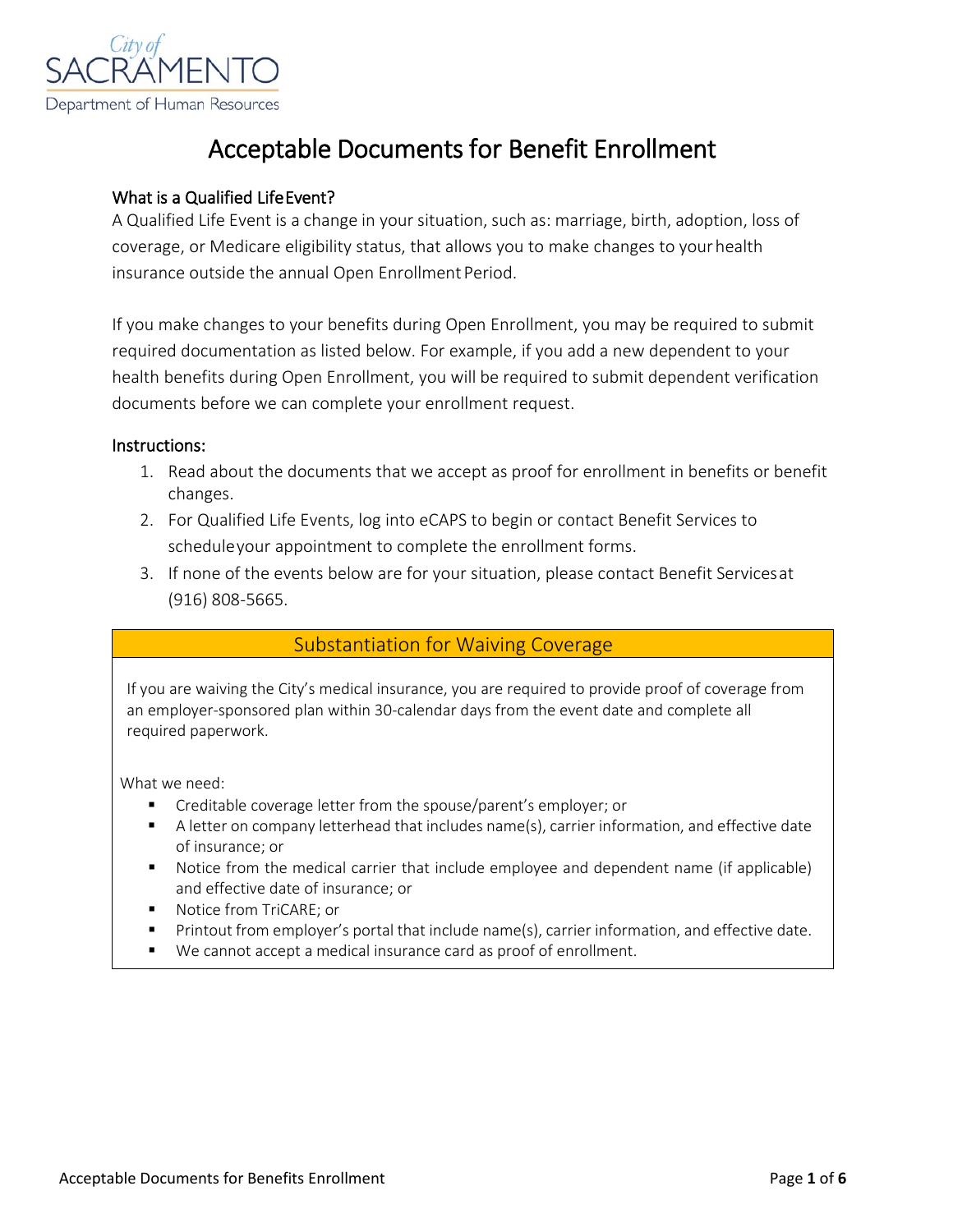

# Acceptable Documents for Benefit Enrollment

#### What is a Qualified Life Event?

A Qualified Life Event is a change in your situation, such as: marriage, birth, adoption, loss of coverage, or Medicare eligibility status, that allows you to make changes to yourhealth insurance outside the annual Open Enrollment Period.

If you make changes to your benefits during Open Enrollment, you may be required to submit required documentation as listed below. For example, if you add a new dependent to your health benefits during Open Enrollment, you will be required to submit dependent verification documents before we can complete your enrollment request.

#### Instructions:

- 1. Read about the documents that we accept as proof for enrollment in benefits or benefit changes.
- 2. For Qualified Life Events, log into eCAPS to begin or contact Benefit Services to scheduleyour appointment to complete the enrollment forms.
- 3. If none of the events below are for your situation, please contact Benefit Servicesat (916) 808-5665.

#### Substantiation for Waiving Coverage

If you are waiving the City's medical insurance, you are required to provide proof of coverage from an employer-sponsored plan within 30-calendar days from the event date and complete all required paperwork.

- **F** Creditable coverage letter from the spouse/parent's employer; or
- A letter on company letterhead that includes name(s), carrier information, and effective date of insurance; or
- Notice from the medical carrier that include employee and dependent name (if applicable) and effective date of insurance; or
- Notice from TriCARE; or
- Printout from employer's portal that include name(s), carrier information, and effective date.
- We cannot accept a medical insurance card as proof of enrollment.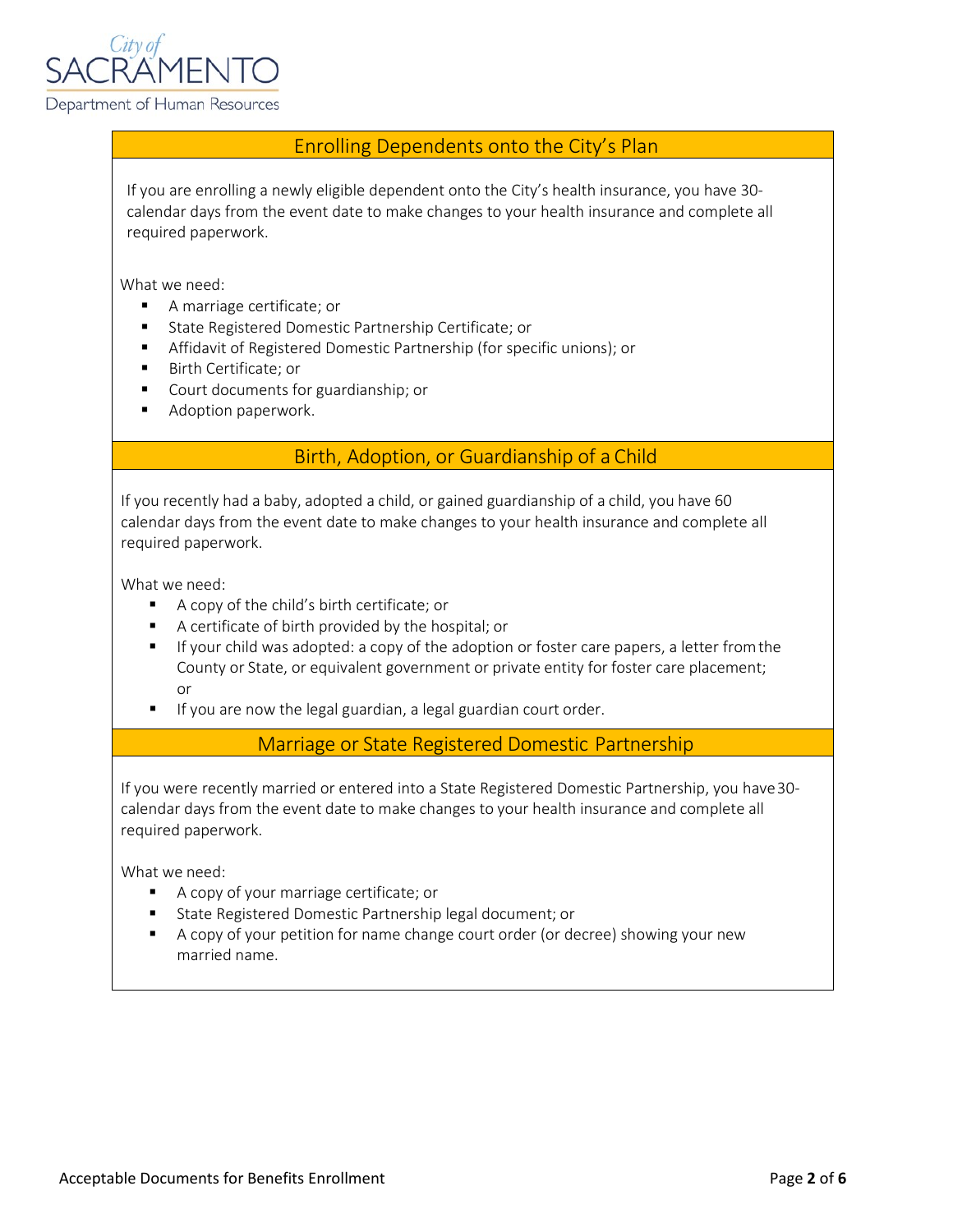

#### Enrolling Dependents onto the City's Plan

If you are enrolling a newly eligible dependent onto the City's health insurance, you have 30 calendar days from the event date to make changes to your health insurance and complete all required paperwork.

What we need:

- A marriage certificate; or
- State Registered Domestic Partnership Certificate; or
- **Affidavit of Registered Domestic Partnership (for specific unions); or**
- Birth Certificate; or
- Court documents for guardianship; or
- **Adoption paperwork.**

## Birth, Adoption, or Guardianship of a Child

If you recently had a baby, adopted a child, or gained guardianship of a child, you have 60 calendar days from the event date to make changes to your health insurance and complete all required paperwork.

What we need:

- A copy of the child's birth certificate; or
- A certificate of birth provided by the hospital; or
- If your child was adopted: a copy of the adoption or foster care papers, a letter from the County or State, or equivalent government or private entity for foster care placement; or
- **If you are now the legal guardian, a legal guardian court order.**

Marriage or State Registered Domestic Partnership

If you were recently married or entered into a State Registered Domestic Partnership, you have30 calendar days from the event date to make changes to your health insurance and complete all required paperwork.

- A copy of your marriage certificate; or
- **State Registered Domestic Partnership legal document; or**
- A copy of your petition for name change court order (or decree) showing your new married name.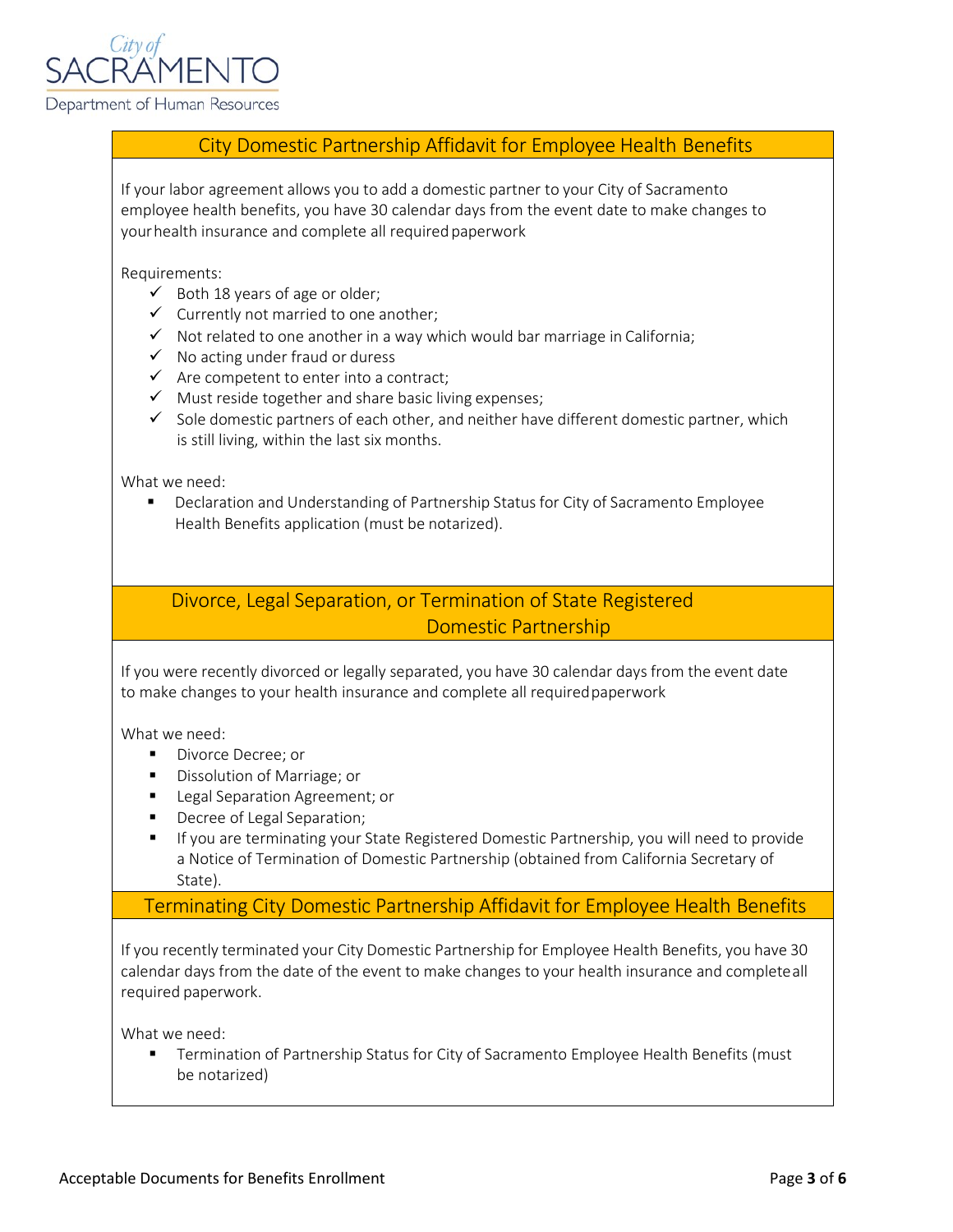

#### City Domestic Partnership Affidavit for Employee Health Benefits

If your labor agreement allows you to add a domestic partner to your City of Sacramento employee health benefits, you have 30 calendar days from the event date to make changes to your health insurance and complete all required paperwork

Requirements:

- $\checkmark$  Both 18 years of age or older;
- $\checkmark$  Currently not married to one another;
- $\checkmark$  Not related to one another in a way which would bar marriage in California;
- $\checkmark$  No acting under fraud or duress
- $\checkmark$  Are competent to enter into a contract;
- $\checkmark$  Must reside together and share basic living expenses;
- $\checkmark$  Sole domestic partners of each other, and neither have different domestic partner, which is still living, within the last six months.

What we need:

 Declaration and Understanding of Partnership Status for City of Sacramento Employee Health Benefits application (must be notarized).

## Divorce, Legal Separation, or Termination of State Registered Domestic Partnership

If you were recently divorced or legally separated, you have 30 calendar days from the event date to make changes to your health insurance and complete all requiredpaperwork

What we need:

- **Divorce Decree; or**
- Dissolution of Marriage; or
- **Legal Separation Agreement; or**
- **Decree of Legal Separation;**
- If you are terminating your State Registered Domestic Partnership, you will need to provide a Notice of Termination of Domestic Partnership (obtained from California Secretary of State).

#### Terminating City Domestic Partnership Affidavit for Employee Health Benefits

If you recently terminated your City Domestic Partnership for Employee Health Benefits, you have 30 calendar days from the date of the event to make changes to your health insurance and completeall required paperwork.

What we need:

**Termination of Partnership Status for City of Sacramento Employee Health Benefits (must** be notarized)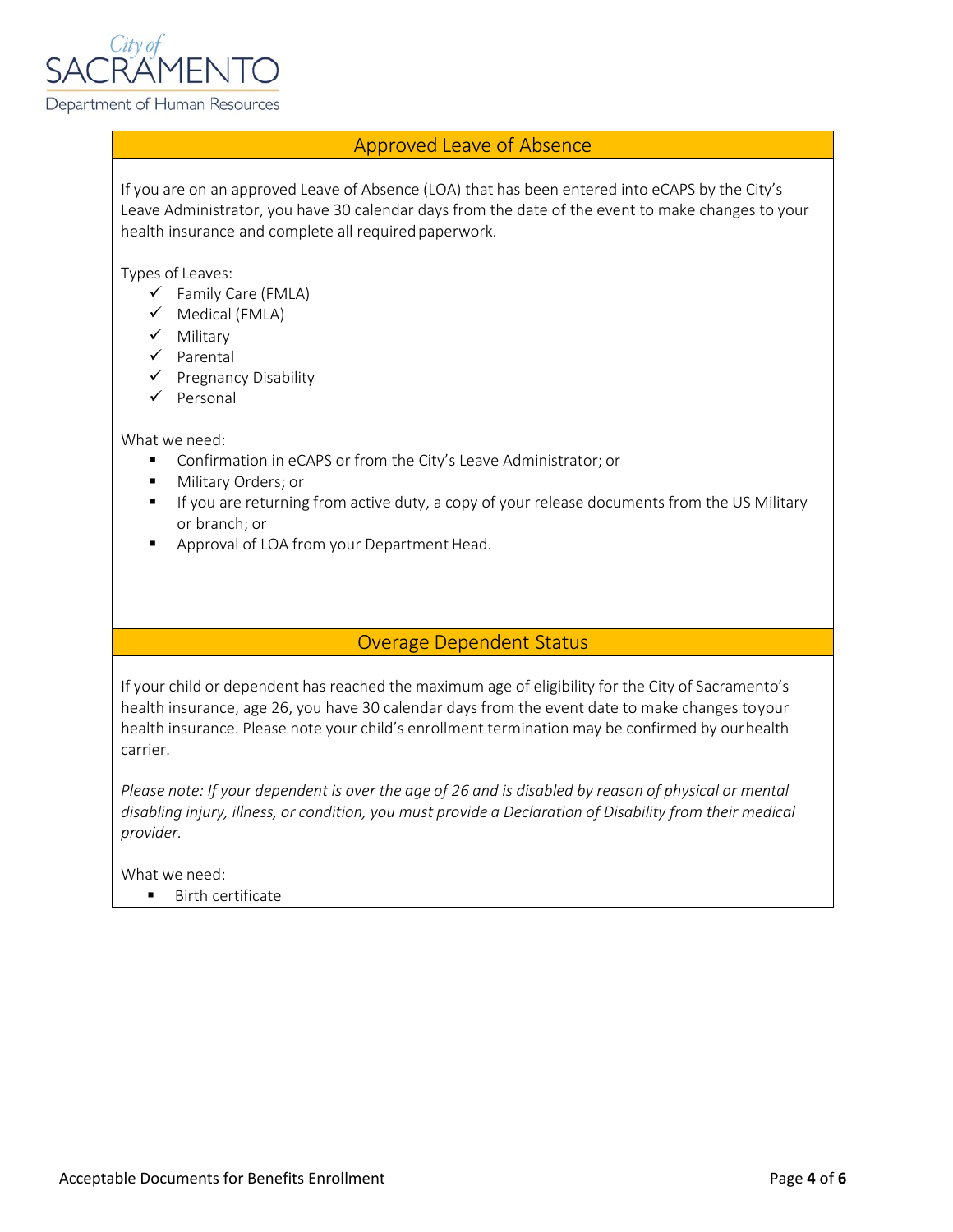

## Approved Leave of Absence

If you are on an approved Leave of Absence (LOA) that has been entered into eCAPS by the City's Leave Administrator, you have 30 calendar days from the date of the event to make changes to your health insurance and complete all required paperwork.

Types of Leaves:

- $\checkmark$  Family Care (FMLA)
- $\checkmark$  Medical (FMLA)
- $\checkmark$  Military
- $\checkmark$  Parental
- $\checkmark$  Pregnancy Disability
- $\checkmark$  Personal

What we need:

- **Confirmation in eCAPS or from the City's Leave Administrator; or**
- **Military Orders; or**
- If you are returning from active duty, a copy of your release documents from the US Military or branch; or
- **Approval of LOA from your Department Head.**

#### Overage Dependent Status

If your child or dependent has reached the maximum age of eligibility for the City of Sacramento's health insurance, age 26, you have 30 calendar days from the event date to make changes toyour health insurance. Please note your child's enrollment termination may be confirmed by ourhealth carrier.

Please note: If your dependent is over the age of 26 and is disabled by reason of physical or mental *disabling injury, illness, or condition, you must provide a Declaration of Disability from their medical provider.* 

What we need:

**Birth certificate**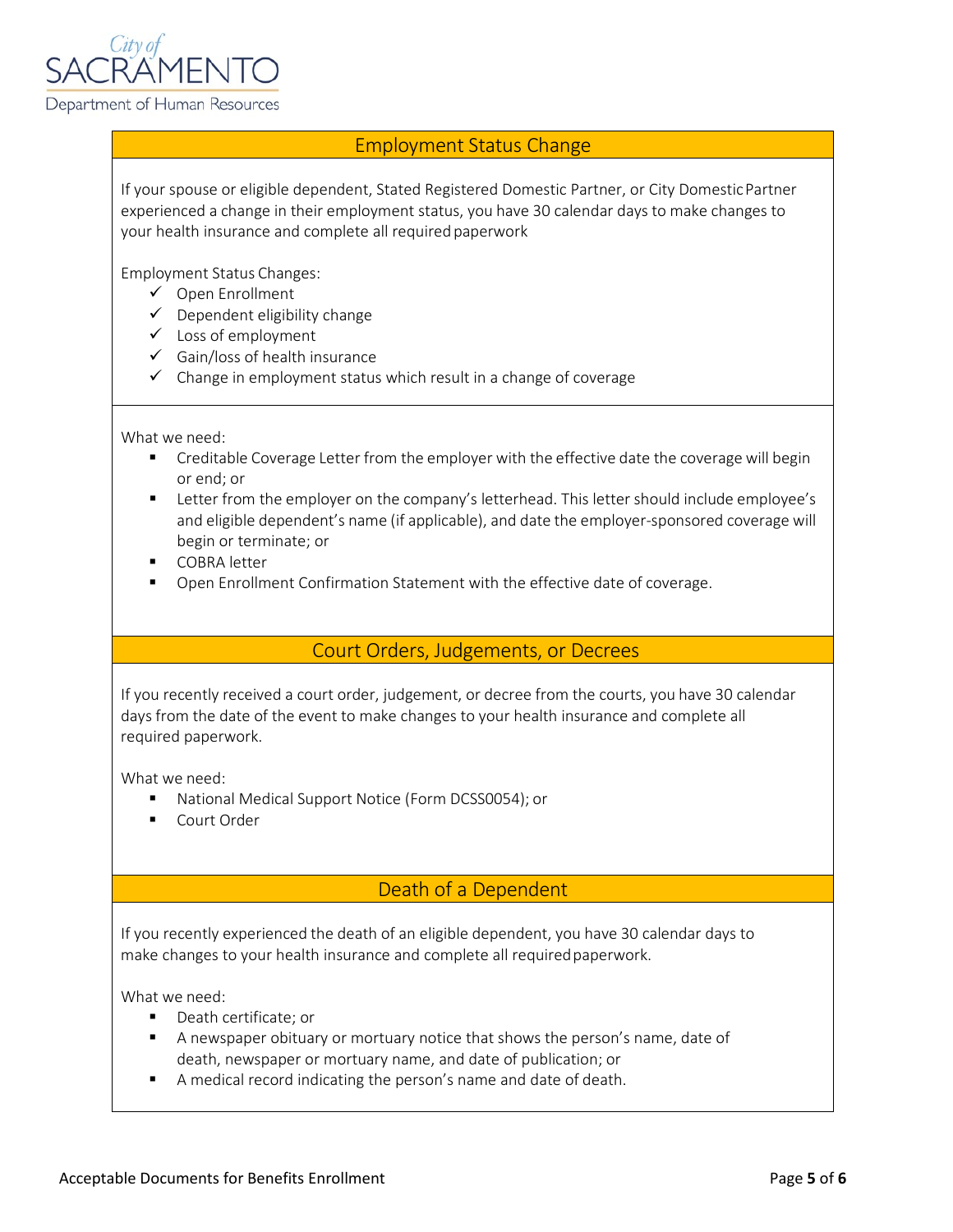

## Employment Status Change

If your spouse or eligible dependent, Stated Registered Domestic Partner, or City DomesticPartner experienced a change in their employment status, you have 30 calendar days to make changes to your health insurance and complete all requiredpaperwork

Employment Status Changes:

- Open Enrollment
- $\checkmark$  Dependent eligibility change
- Loss of employment
- $\checkmark$  Gain/loss of health insurance
- $\checkmark$  Change in employment status which result in a change of coverage

What we need:

- **•** Creditable Coverage Letter from the employer with the effective date the coverage will begin or end; or
- **EXECT** Letter from the employer on the company's letterhead. This letter should include employee's and eligible dependent's name (if applicable), and date the employer-sponsored coverage will begin or terminate; or
- **COBRA** letter
- Open Enrollment Confirmation Statement with the effective date of coverage.

Court Orders, Judgements, or Decrees

If you recently received a court order, judgement, or decree from the courts, you have 30 calendar days from the date of the event to make changes to your health insurance and complete all required paperwork.

What we need:

- National Medical Support Notice (Form DCSS0054); or
- Court Order

# Death of a Dependent

If you recently experienced the death of an eligible dependent, you have 30 calendar days to make changes to your health insurance and complete all requiredpaperwork.

- Death certificate: or
- A newspaper obituary or mortuary notice that shows the person's name, date of death, newspaper or mortuary name, and date of publication; or
- A medical record indicating the person's name and date of death.